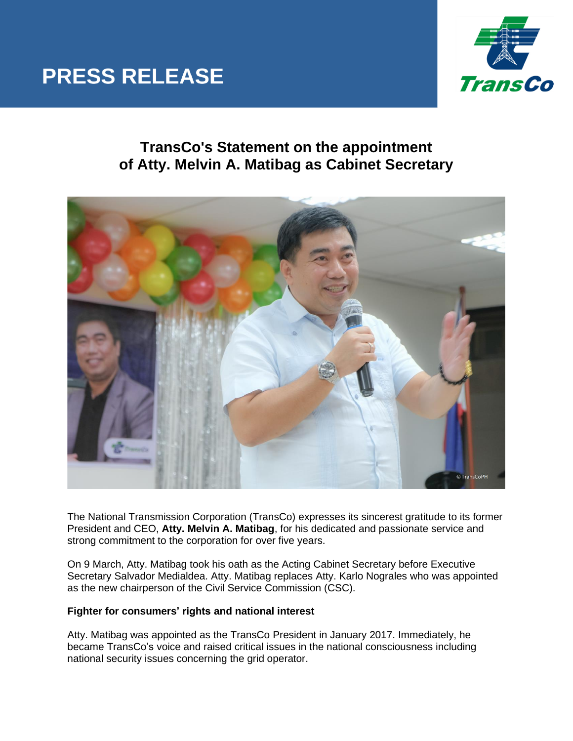## **PRESS RELEASE**



## **TransCo's Statement on the appointment of Atty. Melvin A. Matibag as Cabinet Secretary**



The National Transmission Corporation (TransCo) expresses its sincerest gratitude to its former President and CEO, **Atty. Melvin A. Matibag**, for his dedicated and passionate service and strong commitment to the corporation for over five years.

On 9 March, Atty. Matibag took his oath as the Acting Cabinet Secretary before Executive Secretary Salvador Medialdea. Atty. Matibag replaces Atty. Karlo Nograles who was appointed as the new chairperson of the Civil Service Commission (CSC).

## **Fighter for consumers' rights and national interest**

Atty. Matibag was appointed as the TransCo President in January 2017. Immediately, he became TransCo's voice and raised critical issues in the national consciousness including national security issues concerning the grid operator.